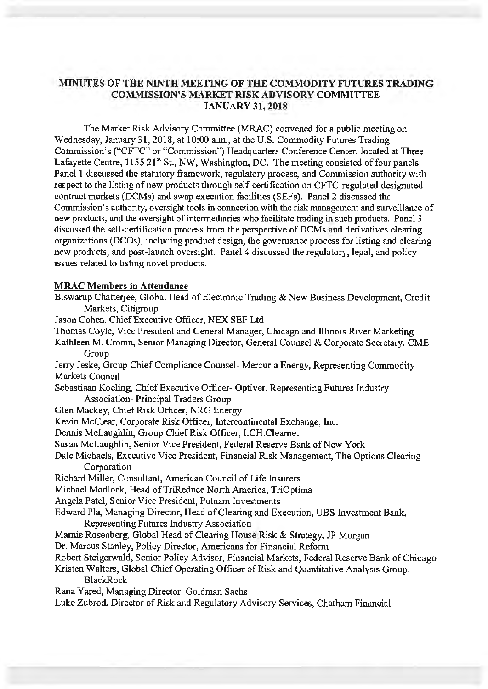# **MINUTES OF THE NINTH MEETING OF THE COMMODITY FUTURES TRADING COMMISSION'S MARKET RISK ADVISORY COMMITTEE JANUARY 31, 2018**

The Market Risk Advisory Committee (MRAC) convened for a public meeting on Wednesday, January 31, 2018, at 10:00 a.m., at the U.S. Commodity Futures Trading Commission's ("CFTC" or "Commission") Headquarters Conference Center, located at Three Lafayette Centre,  $1155 \times 21^{st}$  St., NW, Washington, DC. The meeting consisted of four panels. Panel 1 discussed the statutory framework, regulatory process, and Commission authority with respect to the listing of new products through self-certification on CFTC-regulated designated contract markets (DCMs) and swap execution facilities (SEFs). Panel 2 discussed the Commission's authority, oversight tools in connection with the risk management and surveillance of new products, and the oversight of intermediaries who facilitate trading in such products. Panel 3 discussed the self-certification process from the perspective of DCMs and derivatives clearing organizations (DC Os), including product design, the governance process for listing and clearing new products, and post-launch oversight. Panel 4 discussed the regulatory, legal, and policy issues related to listing novel products.

#### **MRAC Members** in **Attendance**

- Biswarup Chatterjee, Global Head of Electronic Trading & New Business Development, Credit Markets, Citigroup
- Jason Cohen, Chief Executive Officer, NEX SEF Ltd
- Thomas Coyle, Vice President and General Manager, Chicago and Illinois River Marketing
- Kathleen M. Cronin, Senior Managing Director, General Counsel & Corporate Secretary, CME Group

Jerry Jeske, Group Chief Compliance Counsel- Mercuria Energy, Representing Commodity Markets Council

Sebastiaan Keeling, Chief Executive Officer- Optiver, Representing Futures Industry Association- Principal Traders Group

- Glen Mackey, Chief Risk Officer, NRG Energy
- Kevin McClear, Corporate Risk Officer, Intercontinental Exchange, Inc.

Dennis McLaughlin, Group Chief Risk Officer, LCH.Cleamet

- Susan McLaughlin, Senior Vice President, Federal Reserve Bank of New York
- Dale Michaels, Executive Vice President, Financial Risk Management, The Options Clearing Corporation
- Richard Miller, Consultant, American Council of Life Insurers

Michael Modlock, Head of TriReduce North America, TriOptima

Angela Patel, Senior Vice President, Putnam Investments

Edward Pia, Managing Director, Head of Clearing and Execution, UBS Investment Bank,

- Representing Futures Industry Association
- Mamie Rosenberg, Global Head of Clearing House Risk & Strategy, JP Morgan

Dr. Marcus Stanley, Policy Director, Americans for Financial Reform

Robert Steigerwald, Senior Policy Advisor, Financial Markets, Federal Reserve Bank of Chicago

Kristen Walters, Global Chief Operating Officer of Risk and Quantitative Analysis Group,

BlackRock

Rana Y ared, Managing Director, Goldman Sachs

Luke Zubrod, Director of Risk and Regulatory Advisory Services, Chatham Financial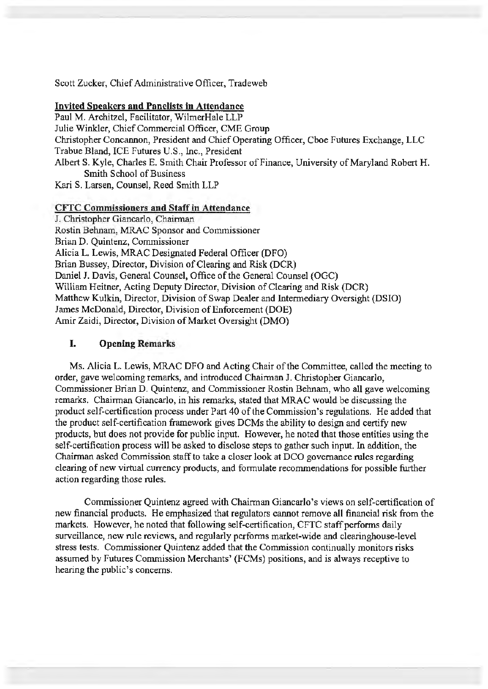Scott Zucker, Chief Administrative Officer, Tradeweb

#### **Invited Speakers and Panelists** in **Attendance**

Paul M. Architzel, Facilitator, WilmerHale LLP Julie Winkler, Chief Commercial Officer, CME Group Christopher Concannon, President and Chief Operating Officer, Cboe Futures Exchange, LLC Trabue Bland, ICE Futures U.S., Inc., President Albert S. Kyle, Charles E. Smith Chair Professor of Finance, University of Maryland Robert H. Smith School of Business

Kari S. Larsen, Counsel, Reed Smith LLP

## **CITC Commissioners and Staff** in **Attendance**

J. Christopher Giancarlo, Chairman Rostin Behnam, MRAC Sponsor and Commissioner Brian D. Quintenz, Commissioner Alicia L. Lewis, MRAC Designated Federal Officer (DFO) Brian Bussey, Director, Division of Clearing and Risk (OCR) Daniel J. Davis, General Counsel, Office of the General Counsel (OGC) William Heitner, Acting Deputy Director, Division of Clearing and Risk (DCR) Matthew Kulkin, Director, Division of Swap Dealer and Intermediary Oversight (DSIO) James McDonald, Director, Division of Enforcement (DOE) Amir Zaidi, Director, Division of Market Oversight (DMO)

#### I. **Opening Remarks**

Ms. Alicia L. Lewis, MRAC DFO and Acting Chair of the Committee, called the meeting to order, gave welcoming remarks, and introduced Chairman J. Christopher Giancarlo, Commissioner Brian D. Quintenz, and Commissioner Rostin Behnarn, who all gave welcoming remarks. Chairman Giancarlo, in his remarks, stated that MRAC would be discussing the product self-certification process under Part 40 of the Commission's regulations. He added that the product self-certification framework gives DCMs the ability to design and certify new products, but does not provide for public input. However, he noted that those entities using the self-certification process will be asked to disclose steps to gather such input. In addition, the Chairman asked Commission staff to take a closer look at DCO governance rules regarding clearing of new virtual currency products, and formulate recommendations for possible further action regarding those rules.

Commissioner Quintenz agreed with Chairman Giancarlo's views on self-certification of new financial products. He emphasized that regulators cannot remove all financial risk from the markets. However, he noted that following self-certification, CFTC staff performs daily surveillance, new rule reviews, and regularly performs market-wide and clearinghouse-level stress tests. Commissioner Quintenz added that the Commission continually monitors risks assumed by Futures Commission Merchants' (FCMs) positions, and is always receptive to hearing the public's concerns.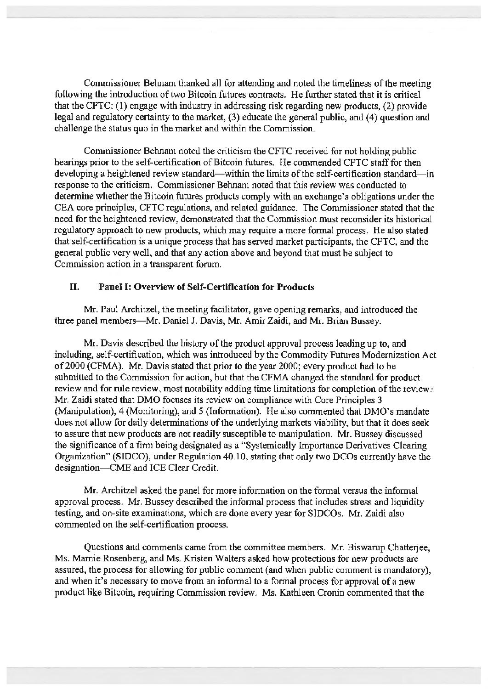Commissioner Behnam thanked all for attending and noted the timeliness of the meeting following the introduction of two Bitcoin futures contracts. He further stated that it is critical that the CFTC: ( 1) engage with industry in addressing risk regarding new products, (2) provide legal and regulatory certainty to the market, (3) educate the general public, and (4) question and challenge the status quo in the market and within the Commission.

Commissioner Behnam noted the criticism the CFTC received for not holding public hearings prior to the self-certification of Bitcoin futures. He commended CFTC staff for then developing a heightened review standard- within the limits of the self-certification standard- in response to the criticism. Commissioner Behnam noted that this review was conducted to determine whether the Bitcoin futures products comply with an exchange's obligations under the CEA core principles, CFTC regulations, and related guidance. The Commissioner stated that the need for the heightened review, demonstrated that the Commission must reconsider its historical regulatory approach to new products, which may require a more formal process. He also stated that self-certification is a unique process that has served market participants, the CFTC, and the general public very well, and that any action above and beyond that must be subject to Commission action in a transparent forum.

## II. **Panel** I: **Overview of Self-Certification for Products**

Mr. Paul Architzel, the meeting facilitator, gave opening remarks, and introduced the three panel members-Mr. Daniel J. Davis, Mr. Amir Zaidi, and Mr. Brian Bussey.

Mr. Davis described the history of the product approval process leading up to, and including, self-certification, which was introduced by the Commodity Futures Modernization Act of2000 (CFMA). Mr. Davis stated that prior to the year 2000; every product had to be submitted to the Commission for action, but that the CFMA changed the standard for product review and for rule review, most notability adding time limitations for completion of the review. Mr. Zaidi stated that DMO focuses its review on compliance with Core Principles 3 (Manipulation), 4 (Monitoring), and 5 (Information). He also commented that DMO's mandate does not allow for daily determinations of the underlying markets viability, but that it does seek to assure that new products are not readily susceptible to manipulation. Mr. Bussey discussed the significance of a firm being designated as a "Systemically Importance Derivatives Clearing Organization" (SIDCO), under Regulation 40.10, stating that only two DCOs currently have the designation-CME and ICE Clear Credit.

Mr. Architzel asked the panel for more information on the formal versus the informal approval process. Mr. Bussey described the informal process that includes stress and liquidity testing, and on-site examinations, which are done every year for SIDCOs. Mr. Zaidi also commented on the self-certification process.

Questions and comments came from the committee members. Mr. Biswarup Chatterjee, Ms. Marnie Rosenberg, and Ms. Kristen Walters asked how protections for new products are assured, the process for allowing for public comment (and when public comment is mandatory), and when it's necessary to move from an informal to a formal process for approval of a new product like Bitcoin, requiring Commission review. Ms. Kathleen Cronin commented that the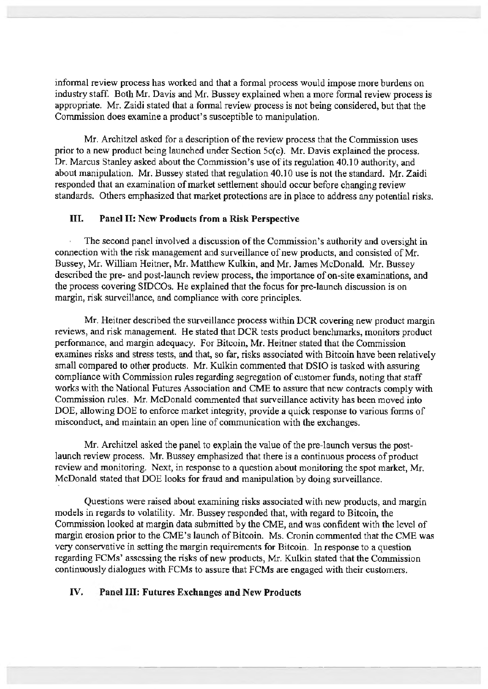informal review process has worked and that a formal process would impose more burdens on industry staff. Both Mr. Davis and Mr. Bussey explained when a more formal review process is appropriate. Mr. Zaidi stated that a formal review process is not being considered, but that the Commission does examine a product's susceptible to manipulation.

Mr. Architzel asked for a description of the review process that the Commission uses prior to a new product being launched under Section 5c(c). Mr. Davis explained the process. Dr. Marcus Stanley asked about the Commission's use of its regulation 40.10 authority, and about manipulation. Mr. Bussey stated that regulation 40.10 use is not the standard. Mr. Zaidi responded that an examination of market settlement should occur before changing review standards. Others emphasized that market protections are in place to address any potential risks.

## III. **Panel** II: **New Products from a Risk Perspective**

The second panel involved a discussion of the Commission's authority and oversight in connection with the risk management and surveillance of new products, and consisted of Mr. Bussey, Mr. William Heitner, Mr. Matthew Kulkin, and Mr. James McDonald. Mr. Bussey described the pre- and post-launch review process, the importance of on-site examinations, and the process covering SIDCOs. He explained that the focus for pre-launch discussion is on margin, risk surveillance, and compliance with core principles.

Mr. Heitner described the surveillance process within DCR covering new product margin reviews, and risk management. He stated that DCR tests product benclnnarks, monitors product performance, and margin adequacy. For Bitcoin, Mr. Heitner stated that the Commission examines risks and stress tests, and that, so far, risks associated with Bitcoin have been relatively small compared to other products. Mr. Kulkin commented that DSIO is tasked with assuring compliance with Commission rules regarding segregation of customer funds, noting that staff works with the National Futures Association and CME to assure that new contracts comply with Commission rules. Mr. McDonald commented that surveillance activity has been moved into DOE, allowing DOE to enforce market integrity, provide a quick response to various forms of misconduct, and maintain an open line of communication with the exchanges.

Mr. Architzel asked the panel to explain the value of the pre-launch versus the postlaunch review process. Mr. Bussey emphasized that there is a continuous process of product review and monitoring. Next, in response to a question about monitoring the spot market, Mr. McDonald stated that DOE looks for fraud and manipulation by doing surveillance.

Questions were raised about examining risks associated with new products, and margin models in regards to volatility. Mr. Bussey responded that, with regard to Bitcoin, the Commission looked at margin data submitted by the CME, and was confident with the level of margin erosion prior to the CME's launch of Bitcoin. Ms. Cronin commented that the CME was very conservative in setting the margin requirements for Bitcoin. In response to a question regarding FCMs' assessing the risks of new products, Mr. Kulkin stated that the Commission continuously dialogues with FCMs to assure that FCMs are engaged with their customers.

## **IV. Panel** III: **Futures Exchanges and New Products**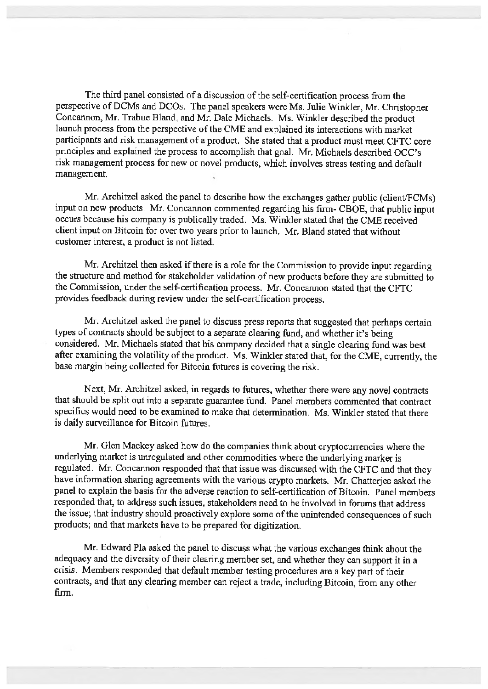The third panel consisted of a discussion of the self-certification process from the perspective of DCMs and DCOs. The panel speakers were Ms. Julie Winkler, Mr. Christopher Concannon, Mr. Trabue Bland, and Mr. Dale Michaels. Ms. Winkler described the product launch process from the perspective of the CME and explained its interactions with market participants and risk management of a product. She stated that a product must meet CFTC core principles and explained the process to accomplish that goal. Mr. Michaels described OCC's risk management process for new or novel products, which involves stress testing and default management.

Mr. Architzel asked the panel to describe how the exchanges gather public (client/FCMs) input on new products. Mr. Concannon commented regarding his firm- CBOE, that public input occurs because his company is publically traded. Ms. Winkler stated that the CME received client input on Bitcoin for over two years prior to launch. Mr. Bland stated that without customer interest, a product is not listed.

Mr. Architzel then asked if there is a role for the Commission to provide input regarding the structure and method for stakeholder validation of new products before they are submitted to the Commission, under the self-certification process. Mr. Concannon stated that the CFTC provides feedback during review under the self-certification process.

Mr. Architzel asked the panel to discuss press reports that suggested that perhaps certain types of contracts should be subject to a separate clearing fund, and whether it's being considered. Mr. Michaels stated that his company decided that a single clearing fund was best after examining the volatility of the product. Ms. Winkler stated that, for the CME, currently, the base margin being collected for Bitcoin futures is covering the risk.

Next, Mr. Architzel asked, in regards to futures, whether there were any novel contracts that should be split out into a separate guarantee fund. Panel members commented that contract specifics would need to be examined to make that determination. Ms. Winkler stated that there is daily surveillance for Bitcoin futures.

Mr. Glen Mackey asked how do the companies think about cryptocurrencies where the underlying market is unregulated and other commodities where the underlying marker is regulated. Mr. Concannon responded that that issue was discussed with the CFTC and that they have information sharing agreements with the various crypto markets. Mr. Chatterjee asked the panel to explain the basis for the adverse reaction to self-certification of Bitcoin. Panel members responded that, to address such issues, stakeholders need to be involved in forums that address the issue; that industry should proactively explore some of the unintended consequences of such products; and that markets have to be prepared for digitization.

Mr. Edward Pla asked the panel to discuss what the various exchanges think about the adequacy and the diversity of their clearing member set, and whether they can support it in <sup>a</sup> crisis. Members responded that default member testing procedures are a key part of their contracts, and that any clearing member can reject a trade, including Bitcoin, from any other firm.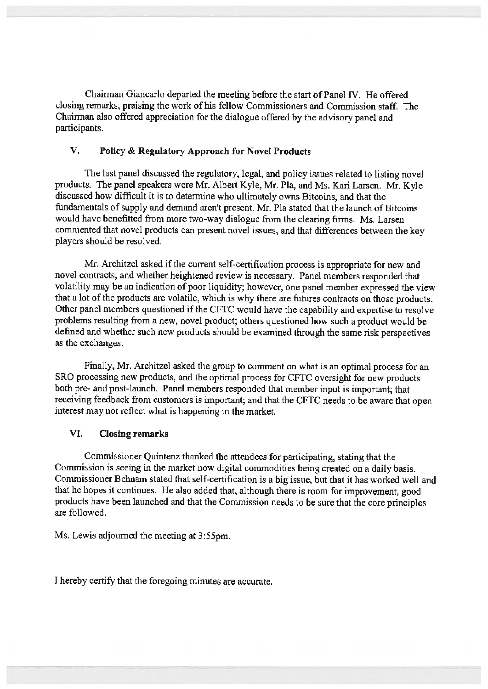Chairman Giancarlo departed the meeting before the start of Panel IV. He offered closing remarks, praising the work of his fellow Commissioners and Commission staff. The Chairman also offered appreciation for the dialogue offered by the advisory panel and participants.

# **V. Policy** & **Regulatory Approach for Novel Products**

The last panel discussed the regulatory, legal, and policy issues related to listing novel products. The panel speakers were Mr. Albert Kyle, Mr. Pia, and Ms. Kari Larsen. Mr. Kyle discussed how difficult it is to determine who ultimately owns Bitcoins, and that the fundamentals of supply and demand aren't present. Mr. Pia stated that the launch of Bitcoins would have benefitted from more two-way dialogue from the clearing firms. Ms. Larsen commented that novel products can present novel issues, and that differences between the key players should be resolved.

Mr. Architzel asked if the current self-certification process is appropriate for new and novel contracts, and whether heightened review is necessary. Panel members responded that volatility may be an indication of poor liquidity; however, one panel member expressed the view that a lot of the products are volatile, which is why there are futures contracts on those products. Other panel members questioned if the CFTC would have the capability and expertise to resolve problems resulting from a new, novel product; others questioned how such a product would be defined and whether such new products should be examined through the same risk perspectives as the exchanges.

Finally, Mr. Architzel asked the group to comment on what is an optimal process for an SRO processing new products, and the optimal process for CFTC oversight for new products both pre- and post-launch. Panel members responded that member input is important; that receiving feedback from customers is important; and that the CFTC needs to be aware that open interest may not reflect what is happening in the market.

#### **VI. Closing remarks**

Commissioner Quintenz thanked the attendees for participating, stating that the Commission is seeing in the market now digital commodities being created on a daily basis. Commissioner Behnam stated that self-certification is a big issue, but that it has worked well and that he hopes it continues. He also added that, although there is room for improvement, good products have been launched and that the Commission needs to be sure that the core principles are followed.

Ms. Lewis adjourned the meeting at 3 :55pm.

I hereby certify that the foregoing minutes are accurate.